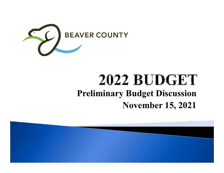

## **2022 BUDGET Preliminary Budget DiscussionNovember 15, 2021**

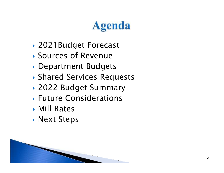# **Agenda**

- 2021Budget Forecast
- $\blacktriangleright$ Sources of Revenue
- Department Budgets
- Shared Services Requests
- 2022 Budget Summary
- Future Considerations
- Mill Rates
- Next Steps

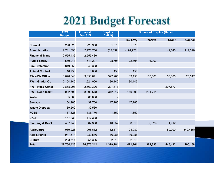# **2021 Budget Forecast**

|                             | 2021<br><b>Budget</b> | <b>Forecast to</b><br><b>Dec 31/21</b> | <b>Surplus</b><br>(Deficit) | <b>Source of Surplus (Deficit)</b> |                |         |                |
|-----------------------------|-----------------------|----------------------------------------|-----------------------------|------------------------------------|----------------|---------|----------------|
|                             |                       |                                        |                             | <b>Tax Levy</b>                    | <b>Reserve</b> | Grant   | <b>Capital</b> |
| Council                     | 290,528               | 228,950                                | 61,578                      | 61,578                             |                |         |                |
| Administration              | 2,741,693             | 2,776,750                              | (35,057)                    | (194, 726)                         |                | 42,643  | 117,026        |
| <b>Financial Trans</b>      | 2,555,436             | 2,555,436                              |                             |                                    |                |         |                |
| <b>Public Safety</b>        | 569,911               | 541,207                                | 28,704                      | 22,704                             | 6,000          |         |                |
| <b>Fire Protection</b>      | 849,358               | 849,358                                |                             |                                    |                |         |                |
| <b>Animal Control</b>       | 10,750                | 10,600                                 | 150                         | 150                                |                |         |                |
| <b>PW - Dir Office</b>      | 3,678,846             | 3,356,641                              | 322,205                     | 89,158                             | 157,500        | 50,000  | 25,547         |
| PW - Grader Op              | 2,104,146             | 1,924,000                              | 180,146                     | 180,146                            |                |         |                |
| <b>PW-Road Const</b>        | 2,858,203             | 2,560,326                              | 297,877                     |                                    |                | 297,877 |                |
| <b>PW - Road Maint</b>      | 9,002,795             | 8,690,578                              | 312,217                     | 110,506                            | 201,711        |         |                |
| <b>Water</b>                | 65,000                | 65,000                                 |                             |                                    |                |         |                |
| <b>Sewage</b>               | 54,985                | 37,700                                 | 17,285                      | 17,285                             |                |         |                |
| <b>Waste Disposal</b>       | 39,560                | 39,560                                 |                             |                                    |                |         |                |
| <b>FCSS</b>                 | 137,626               | 135,776                                | 1,850                       | 1,850                              |                |         |                |
| <b>CALP</b>                 | 147,338               | 147,338                                |                             |                                    |                |         |                |
| <b>Planning &amp; Dev't</b> | 407,740               | 367,388                                | 40,352                      | 38,318                             | (2,878)        | 4,912   |                |
| <b>Agriculture</b>          | 1,039,226             | 906,652                                | 132,574                     | 124,989                            |                | 50,000  | (42, 415)      |
| <b>Rec &amp; Parks</b>      | 947,574               | 930,586                                | 16,988                      | 16,988                             |                |         |                |
| <b>Culture</b>              | 253,711               | 251,396                                | 2,315                       | 2,315                              |                |         |                |
| <b>Total</b>                | 27,754,426            | 26,375,242                             | 1,379,184                   | 471,261                            | 362,333        | 445,432 | 100,158        |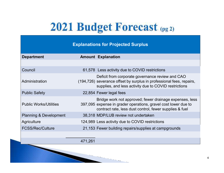## 2021 Budget Forecast (pg 2)

#### **Explanations for Projected Surplus**

| <b>Department</b>                 | <b>Amount Explanation</b>                                                                                                                                                            |
|-----------------------------------|--------------------------------------------------------------------------------------------------------------------------------------------------------------------------------------|
|                                   |                                                                                                                                                                                      |
| Council                           | 61,578 Less activity due to COVID restrictions                                                                                                                                       |
| Administration                    | Deficit from corporate governance review and CAO<br>(194,726) severance offset by surplus in professional fees, repairs,<br>supplies, and less activity due to COVID restrictions    |
| <b>Public Safety</b>              | 22,854 Fewer legal fees                                                                                                                                                              |
| <b>Public Works/Utilities</b>     | Bridge work not approved; fewer drainage expenses, less<br>397,095 expense in grader operations, gravel cost lower due to<br>contract rate, less dust control, fewer supplies & fuel |
| <b>Planning &amp; Development</b> | 38,318 MDP/LUB review not undertaken                                                                                                                                                 |
| Agriculture                       | 124,989 Less activity due to COVID restrictions                                                                                                                                      |
| <b>FCSS/Rec/Culture</b>           | 21,153 Fewer building repairs/supplies at campgrounds                                                                                                                                |
|                                   |                                                                                                                                                                                      |

 $\mathcal{L}_{\mathcal{A}}$ 

471,261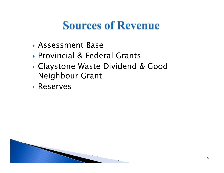## **Sources of Revenue**

- Assessment Base
- Provincial & Federal Grants
- Claystone Waste Dividend & Good Neighbour Grant
- Reserves

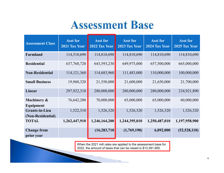## **Assessment Base**

| <b>Assessment Class</b>                    | <b>Asst for</b><br>2021 Tax Year | <b>Asst for</b><br>2022 Tax Year | <b>Asst for</b><br>2023 Tax Year | <b>Asst for</b><br>2024 Tax Year | <b>Asst for</b><br>2025 Tax Year |
|--------------------------------------------|----------------------------------|----------------------------------|----------------------------------|----------------------------------|----------------------------------|
| Farmland                                   | 114,510,690                      | 114,810,690                      | 114,810,690                      | 114,810,690                      | 114,810,690                      |
| <b>Residential</b>                         | 637,768,720                      | 643,593,230                      | 649,975,000                      | 657,500,000                      | 665,000,000                      |
| <b>Non-Residential</b>                     | 114, 121, 360                    | 114,683,960                      | 111,483,000                      | 110,000,000                      | 100,000,000                      |
| <b>Small Business</b>                      | 19,960,320                       | 21,550,000                       | 21,600,000                       | 21,650,000                       | 21,700,000                       |
| Linear                                     | 297,922,310                      | 280,000,000                      | 280,000,000                      | 280,000,000                      | 234,921,890                      |
| Machinery &<br>Equipment                   | 76,642,200                       | 70,000,000                       | 65,000,000                       | 65,000,000                       | 60,000,000                       |
| <b>Grants-in-Lieu</b><br>(Non-Residential) | 1,522,310                        | 1,526,320                        | 1,526,320                        | 1,526,320                        | 1,526,320                        |
| <b>TOTAL</b>                               | 1,262,447,910                    | 1,246,164,200                    | 1,244,395,010                    | 1,250,487,010                    | 1,197,958,900                    |
| <b>Change from</b><br>prior year           |                                  | (16, 283, 710)                   | (1,769,190)                      | 6,092,000                        | (52, 528, 110)                   |

When the 2021 mill rates are applied to the assessment base for 2022, the amount of taxes that can be raised is \$13,391,950.

 $\cdots$ 

m.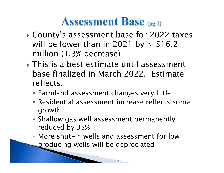## **Assessment Base** (pg 1)

- $\blacktriangleright$  County's assessment base for 2022 taxes will be lower than in 2021 by  $\approx$  \$16.2 million (1.3% decrease)
- This is a best estimate until assessment base finalized in March 2022. Estimate reflects:
	- Farmland assessment changes very little
	- Residential assessment increase reflects some growth
	- Shallow gas well assessment permanently reduced by 35%
	- More shut-in wells and assessment for low producing wells will be depreciated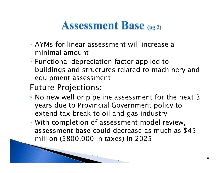## **Assessment Base** (pg 2)

- AYMs for linear assessment will increase a minimal amount
- Functional depreciation factor applied to buildings and structures related to machinery and equipment assessment
- Future Projections:
- No new well or pipeline assessment for the next 3 years due to Provincial Government policy to extend tax break to oil and gas industry
- With completion of assessment model review, assessment base could decrease as much as \$45 million (\$800,000 in taxes) in 2025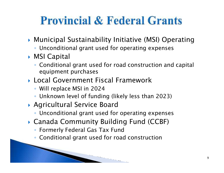## **Provincial & Federal Grants**

- Municipal Sustainability Initiative (MSI) Operating
	- Unconditional grant used for operating expenses
- ▶ MSI Capital
	- Conditional grant used for road construction and capital equipment purchases
- Local Government Fiscal Framework
	- Will replace MSI in 2024
	- Unknown level of funding (likely less than 2023)
- Agricultural Service Board
	- Unconditional grant used for operating expenses

- Canada Community Building Fund (CCBF)
	- Formerly Federal Gas Tax Fund
	- Conditional grant used for road construction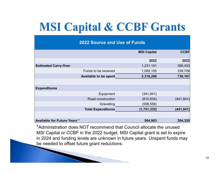# **MSI Capital & CCBF Grants**

| <b>2022 Source and Use of Funds</b> |                              |                    |             |  |  |
|-------------------------------------|------------------------------|--------------------|-------------|--|--|
|                                     |                              | <b>MSI Capital</b> | <b>CCBF</b> |  |  |
|                                     |                              | 2022               | 2022        |  |  |
| <b>Estimated Carry-Over</b>         |                              | 1,231,141          | 396,453     |  |  |
|                                     | Funds to be received         | 1,085,155          | 339,708     |  |  |
|                                     | <b>Available to be spent</b> | 2,316,296          | 736,161     |  |  |
|                                     |                              |                    |             |  |  |
| <b>Expenditures</b>                 |                              |                    |             |  |  |
|                                     | Equipment                    | (341, 841)         |             |  |  |
|                                     | Road construction            | (810, 934)         | (441, 841)  |  |  |
|                                     | Gravelling                   | (598, 558)         |             |  |  |
|                                     | <b>Total Expenditures</b>    | (1,751,333)        | (441, 841)  |  |  |
|                                     |                              |                    |             |  |  |
| <b>Available for Future Years *</b> |                              | 564,963            | 294,320     |  |  |

\*Administration does NOT recommend that Council allocate the unused MSI Capital or CCBF in the 2022 budget. MSI Capital grant is set to expire in 2024 and funding levels are unknown in future years. Unspent funds may be needed to offset future grant reductions.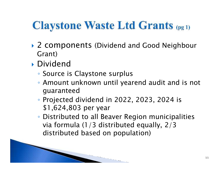## **Claystone Waste Ltd Grants (pg 1)**

- ▶ 2 components (Dividend and Good Neighbour Grant)
- Dividend
	- Source is Claystone surplus
	- Amount unknown until yearend audit and is not guaranteed
	- Projected dividend in 2022, 2023, 2024 is \$1,624,803 per year

◦ Distributed to all Beaver Region municipalities via formula (1/3 distributed equally, 2/3 distributed based on population)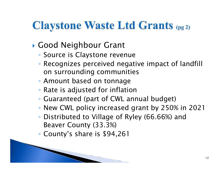## **Claystone Waste Ltd Grants (pg 2)**

- Good Neighbour Grant
	- Source is Claystone revenue
	- Recognizes perceived negative impact of landfill on surrounding communities
	- Amount based on tonnage
	- Rate is adjusted for inflation
	- Guaranteed (part of CWL annual budget)

- New CWL policy increased grant by 250% in 2021
- Distributed to Village of Ryley (66.66%) and Beaver County (33.3%)
- County's share is \$94,261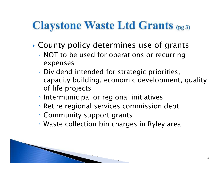## **Claystone Waste Ltd Grants (pg 3)**

- $\blacktriangleright$  County policy determines use of grants
	- NOT to be used for operations or recurring expenses
	- Dividend intended for strategic priorities, capacity building, economic development, quality of life projects
	- Intermunicipal or regional initiatives
	- Retire regional services commission debt
	- Community support grants
	- Waste collection bin charges in Ryley area

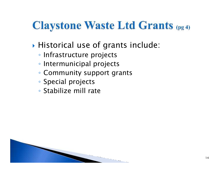## **Claystone Waste Ltd Grants (pg 4)**

- $\blacktriangleright$  $\blacktriangleright$  Historical use of grants include:
	- Infrastructure projects
	- Intermunicipal projects
	- Community support grants
	- Special projects
	- Stabilize mill rate

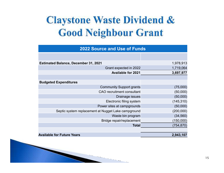## **Claystone Waste Dividend & Good Neighbour Grant**

| <b>2022 Source and Use of Funds</b>                 |            |  |  |  |  |
|-----------------------------------------------------|------------|--|--|--|--|
|                                                     |            |  |  |  |  |
| <b>Estimated Balance, December 31, 2021</b>         | 1,978,913  |  |  |  |  |
| Grant expected in 2022                              | 1,719,064  |  |  |  |  |
| <b>Available for 2021</b>                           | 3,697,977  |  |  |  |  |
|                                                     |            |  |  |  |  |
| <b>Budgeted Expenditures</b>                        |            |  |  |  |  |
| <b>Community Support grants</b>                     | (75,000)   |  |  |  |  |
| <b>CAO</b> recruitment consultant                   | (50,000)   |  |  |  |  |
| Drainage issues                                     | (50,000)   |  |  |  |  |
| Electronic filing system                            | (145, 310) |  |  |  |  |
| Power sites at campgrounds                          | (50,000)   |  |  |  |  |
| Septic system replacement at Nugget Lake campground | (200,000)  |  |  |  |  |
| Waste bin program                                   | (34, 560)  |  |  |  |  |
| Bridge repair/replacement                           | (150,000)  |  |  |  |  |
| <b>Total</b>                                        | (754,870)  |  |  |  |  |
|                                                     |            |  |  |  |  |
| <b>Available for Future Years</b>                   | 2,943,107  |  |  |  |  |

 $\sim$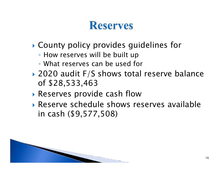## **Reserves**

- $\blacktriangleright$  County policy provides guidelines for
	- How reserves will be built up
	- What reserves can be used for
- ▶ 2020 audit F/S shows total reserve balance of \$28,533,463
- $\blacktriangleright$  Reserves provi Reserves provide cash flow
- Reserve schedule shows reserves available in cash (\$9,577,508)

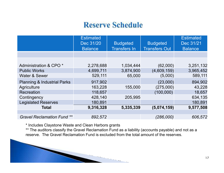#### **Reserve Schedule**

| <b>Estimated</b><br>Dec 31/20<br><b>Balance</b> | <b>Budgeted</b><br><b>Transfers In</b> | <b>Budgeted</b><br><b>Transfers Out</b> | <b>Estimated</b><br>Dec 31/21<br><b>Balance</b> |
|-------------------------------------------------|----------------------------------------|-----------------------------------------|-------------------------------------------------|
|                                                 |                                        |                                         |                                                 |
|                                                 |                                        |                                         |                                                 |
| 2,278,688                                       | 1,034,444                              | (62,000)                                | 3,251,132                                       |
| 4,699,711                                       | 3,874,900                              | (4,609,159)                             | 3,965,452                                       |
| 529,111                                         | 65,000                                 | (5,000)                                 | 589,111                                         |
| 917,902                                         |                                        | (23,000)                                | 894,902                                         |
| 163,228                                         | 155,000                                | (275,000)                               | 43,228                                          |
| 118,657                                         |                                        | (100,000)                               | 18,657                                          |
| 428,140                                         | 205,995                                |                                         | 634,135                                         |
| 180,891                                         |                                        |                                         | 180,891                                         |
| 9,316,328                                       | 5,335,339                              | (5,074,159)                             | 9,577,508                                       |
|                                                 |                                        |                                         |                                                 |
| 892,572                                         |                                        | (286,000)                               | 606,572                                         |
|                                                 |                                        |                                         |                                                 |

\* Includes Claystone Waste and Clean Harbors grants

 \*\* The auditors classify the Gravel Reclamation Fund as a liability (accounts payable) and not as a reserve. The Gravel Reclamation Fund is excluded from the total amount of the reserves.

 $\cdots$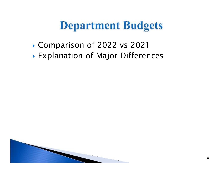## **Department Budgets**

- $\blacktriangleright$ Comparison of 2022 vs 2021
- $\blacktriangleright$  Explanation of Maior Differe Explanation of Major Differences

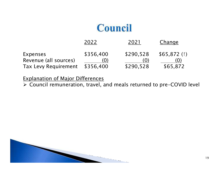#### Council

|                                                                  | 2022                          | 2021                          | Change                         |
|------------------------------------------------------------------|-------------------------------|-------------------------------|--------------------------------|
| Expenses<br>Revenue (all sources)<br><b>Tax Levy Requirement</b> | \$356,400<br>(0)<br>\$356,400 | \$290,528<br>(Q)<br>\$290,528 | \$65,872(1)<br>(0)<br>\$65,872 |
|                                                                  |                               |                               |                                |

Explanation of Major Differences

Council remuneration, travel, and meals returned to pre-COVID level

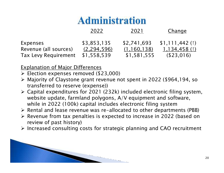#### **Administration**

|                             | 2022          | 2021          | Change           |
|-----------------------------|---------------|---------------|------------------|
| Expenses                    | \$3,853,135   | \$2,741,693   | $$1,111,442$ (1) |
| Revenue (all sources)       | (2, 294, 596) | (1, 160, 138) | 1,134,458(1)     |
| <b>Tax Levy Requirement</b> | \$1,558,539   | \$1,581,555   | (\$23,016)       |

- $\triangleright$  Election expenses removed (\$23,000)
- Majority of Claystone grant revenue not spent in 2022 (\$964,194, so transferred to reserve (expense))
- $\triangleright$  Capital expenditures for 2021 (232k) included electronic filing system,<br>website undate farmland polygons, A/V equipment and seftware website update, farmland polygons, A/V equipment and software, while in 2022 (100k) capital includes electronic filing system
- $\triangleright$  Rental and lease revenue was re-allocated to other departments (PBB)
- ► Revenue from tax penalties is expected to increase in 2022 (based on review of past history)
- $\triangleright$  Increased consulting costs for strategic planning and CAO recruitment

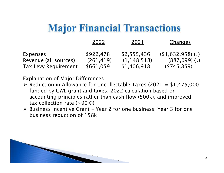#### **Major Financial Transactions**

|                             | 2022       | 2021          | <u>Changes</u>    |
|-----------------------------|------------|---------------|-------------------|
| Expenses                    | \$922,478  | \$2,555,436   | $(1,632,958)$ (1) |
| Revenue (all sources)       | (261, 419) | (1, 148, 518) | $(887,099)$ (1)   |
| <b>Tax Levy Requirement</b> | \$661,059  | \$1,406,918   | (\$745,859)       |

- Reduction in Allowance for Uncollectable Taxes  $(2021 = $1,475,000$ <br>funded by CWL grapt and taxes, 2022 salculation based on funded by CWL grant and taxes. 2022 calculation based on accounting principles rather than cash flow (500k), and improved tax collection rate  $(>90%)$
- $\triangleright$  Business Incentive Grant Year 2 for one business; Year 3 for one business reduction of 15.8L business reduction of 158k

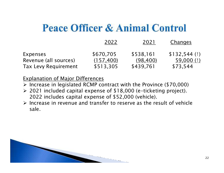#### **Peace Officer & Animal Control**

|                             | 2022       | 2021      | Changes        |
|-----------------------------|------------|-----------|----------------|
| Expenses                    | \$670,705  | \$538,161 | $$132,544$ (1) |
| Revenue (all sources)       | (157, 400) | (98, 400) | 59,000 $(1)$   |
| <b>Tax Levy Requirement</b> | \$513,305  | \$439,761 | \$73,544       |

- $\triangleright$  Increase in legislated RCMP contract with the Province (\$70,000)
- $\geq$  2021 included capital expense of \$18,000 (e-ticketing project). 2022 includes capital expense of \$52,000 (vehicle).
- $\triangleright$  Increase in revenue and transfer to reserve as the result of vehicle sale.

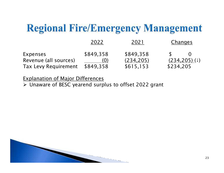#### **Regional Fire/Emergency Management**

|                             | 2022      | 2021       | Changes                       |
|-----------------------------|-----------|------------|-------------------------------|
| Expenses                    | \$849,358 | \$849,358  | $\Omega$                      |
| Revenue (all sources)       | (0)       | (234, 205) | $(234, 205)$ ( $\downarrow$ ) |
| <b>Tax Levy Requirement</b> | \$849,358 | \$615,153  | \$234,205                     |

Explanation of Major Differences

Unaware of BESC yearend surplus to offset 2022 gran t

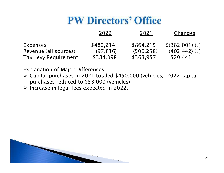## **PW Directors' Office**

|                                   | 2022                   | 2021                    | Changes                              |
|-----------------------------------|------------------------|-------------------------|--------------------------------------|
| Expenses<br>Revenue (all sources) | \$482,214<br>(97, 816) | \$864,215<br>(500, 258) | \$ (382,001) (1)<br>$(402, 442)$ (1) |
| <b>Tax Levy Requirement</b>       | \$384,398              | \$363,957               | \$20,441                             |

- $\triangleright$  Capital purchases in 2021 totaled \$450,000 (vehicles). 2022 capital<br>purchases reduced to \$52,000 (vehicles) purchases reduced to \$53,000 (vehicles).
- $\triangleright$  Increase in legal fees expected in 2022.

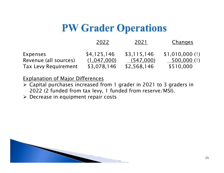#### **PW Grader Operations**

|                             | 2022        | 2021        | Changes        |
|-----------------------------|-------------|-------------|----------------|
| Expenses                    | \$4,125,146 | \$3,115,146 | \$1,010,000(1) |
| Revenue (all sources)       | (1,047,000) | (547,000)   | 500,000 $(1)$  |
| <b>Tax Levy Requirement</b> | \$3,078,146 | \$2,568,146 | \$510,000      |

- $\geq$  Capital purchases increased from 1 grader in 2021 to 3 graders in 2022 (2 funded from tox level 1 funded from recense (MSI) 2022 (2 funded from tax levy, 1 funded from reserve/MSI).
- Decrease in equipment repair costs

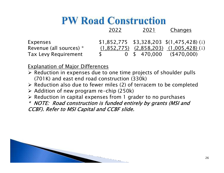## **PW Road Construction**

|                             | 2022 | 2021 | Changes                                       |
|-----------------------------|------|------|-----------------------------------------------|
| Expenses                    |      |      | $$1,852,775$ $$3,328,203$ $$(1,475,428)$ (1)  |
| Revenue (all sources) *     |      |      | $(1,852,775)$ $(2,858,203)$ $(1,005,428)$ (1) |
| <b>Tax Levy Requirement</b> |      |      | $0$ \$ 470,000 (\$470,000)                    |

Explanation of Major Differences

- $\triangleright$  Reduction in expenses due to one time projects of shoulder pulls (301K) and east and read construction (320K) (701K) and east end road construction (330k)
- $\triangleright$  Reduction also due to fewer miles (2) of terracem to be completed  $\triangleright$  Addition of new program re-chin (250k)
- $\triangleright$  Addition of new program re-chip (250k)
- $\triangleright$  Reduction in capital expenses from 1 grader to no purchases<br>\* NOTE: Read construction is funded entirely by grants (MSLar

\* NOTE: Road construction is funded entirely by grants (MSI and CCBF). Refer to MSI Capital and CCBF slide.

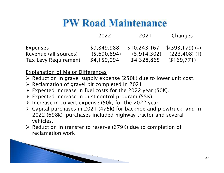#### **PW Road Maintenance**

|                             | 2022        | 2021         | Changes          |
|-----------------------------|-------------|--------------|------------------|
| Expenses                    | \$9,849,988 | \$10,243,167 | \$(393,179)(1)   |
| Revenue (all sources)       | (5,690,894) | (5,914,302)  | $(223, 408)$ (1) |
| <b>Tax Levy Requirement</b> | \$4,159,094 | \$4,328,865  | (\$169,771)      |

- $\triangleright$  Reduction in gravel supply expense (250k) due to lower unit cost.
- $\triangleright$  Reclamation of gravel pit completed in 2021.
- $\triangleright$  Expected increase in fuel costs for the 2022 year (50K).
- $\triangleright$  Expected increase in dust control program (55K).
- $\triangleright$  Increase in culvert expense (50k) for the 2022 year<br> $\triangleright$  Capital purchases in 2021 (475k) for baskboo and
- $\triangleright$  Capital purchases in 2021 (475k) for backhoe and plowtruck; and in 2022 (608k), purchases included bighway tractor and several 2022 (698k) purchases included highway tractor and several vehicles.
- ► Reduction in transfer to reserve (679K) due to completion of <br>Feclamation work reclamation work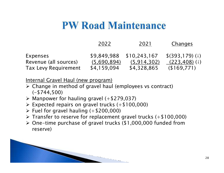#### **PW Road Maintenance**

|                             | 2022        | 2021         | Changes                       |
|-----------------------------|-------------|--------------|-------------------------------|
| Expenses                    | \$9,849,988 | \$10,243,167 | $$$ (393,179)( $\downarrow$ ) |
| Revenue (all sources)       | (5,690,894) | (5.914, 302) | $(223, 408)$ (1)              |
| <b>Tax Levy Requirement</b> | \$4,159,094 | \$4,328,865  | (\$169,771)                   |

Internal Gravel Haul (new program)

- > Change in method of gravel haul (employees vs contract) (-\$744,500)
- A Manpower for hauling gravel  $(+\$279,037)$
- $\triangleright$  Expected repairs on gravel trucks (+\$100,000)
- $\triangleright$  Fuel for gravel hauling (+\$200,000)
- $\triangleright$  Transfer to reserve for replacement gravel trucks (+\$100,000)
- One-time purchase of gravel trucks (\$1,000,000 funded from reserve)

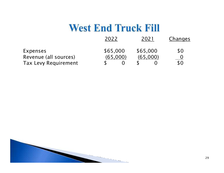#### **West End Truck Fill**

| 2022     | 2021     | Changes |
|----------|----------|---------|
| \$65,000 | \$65,000 | \$0     |
| (65,000) | (65.000) |         |
|          |          | \$0     |
|          |          |         |

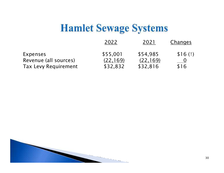#### **Hamlet Sewage Systems**

|                             | 2022      | 2021      | Changes |
|-----------------------------|-----------|-----------|---------|
| Expenses                    | \$55,001  | \$54,985  | \$16(1) |
| Revenue (all sources)       | (22, 169) | (22, 169) |         |
| <b>Tax Levy Requirement</b> | \$32,832  | \$32,816  | \$16    |

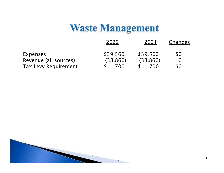#### **Waste Management**

|                             | 2022      | 2021      | Changes   |
|-----------------------------|-----------|-----------|-----------|
| Expenses                    | \$39,560  | \$39,560  | \$0       |
| Revenue (all sources)       | (38, 860) | (38, 860) | <u>()</u> |
| <b>Tax Levy Requirement</b> | 700       | 700       | \$0       |

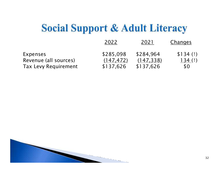## **Social Support & Adult Literacy**

|                             | 2022       | 2021       | Changes   |
|-----------------------------|------------|------------|-----------|
| Expenses                    | \$285,098  | \$284,964  | \$134(f)  |
| Revenue (all sources)       | (147, 472) | (147, 338) | 134 $(1)$ |
| <b>Tax Levy Requirement</b> | \$137,626  | \$137,626  | \$0       |

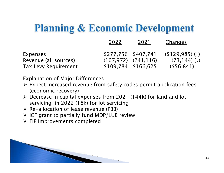## **Planning & Economic Development**

|                                                                  | 2022                                       | 2021                      | Changes                                             |
|------------------------------------------------------------------|--------------------------------------------|---------------------------|-----------------------------------------------------|
| Expenses<br>Revenue (all sources)<br><b>Tax Levy Requirement</b> | \$277,756 \$407,741<br>\$109,784 \$166,625 | $(167, 972)$ $(241, 116)$ | $(129.985)$ (1)<br>$(73, 144)$ (1)<br>$($ \$56,841) |

- > Expect increased revenue from safety codes permit application fees (economic recovery)
- $\triangleright$  Decrease in capital expenses from 2021 (144k) for land and lot servicing; in 2022 (18k) for lot servicing
- $\triangleright$  Re-allocation of lease revenue (PBB)
- $\triangleright$  ICF grant to partially fund MDP/LUB review
- EIP improvements completed

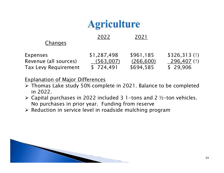#### **Agriculture**

<sup>2022</sup> <sup>2021</sup>

| Expenses                    | \$1,287,498 | \$961,185  | \$326,313(1) |
|-----------------------------|-------------|------------|--------------|
| Revenue (all sources)       | (563,007)   | (266, 600) | 296,407 (1)  |
| <b>Tax Levy Requirement</b> | \$724,491   | \$694,585  | \$ 29,906    |

- > Thomas Lake study 50% complete in 2021. Balance to be completed in 2022 in 2022.
- $\triangleright$  Capital purchases in 2022 included 3 1-tons and 2 ½-ton vehicles. No purchases in prior year. Funding from reserve
- $\triangleright$  Reduction in service level in roadside mulching program

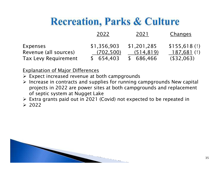## **Recreation, Parks & Culture**

|                             | 2022        | 2021        | Changes      |
|-----------------------------|-------------|-------------|--------------|
| Expenses                    | \$1,356,903 | \$1,201,285 | \$155,618(1) |
| Revenue (all sources)       | (702, 500)  | (514, 819)  | 187,681 (1)  |
| <b>Tax Levy Requirement</b> | \$654,403   | \$686,466   | (\$32,063)   |

#### Explanation of Major Differences

- > Expect increased revenue at both campgrounds<br>> lastesse in sentrasts and supplies for running a
- $\triangleright$  Increase in contracts and supplies for running campgrounds New capital<br>mediate in 2022 are nower sites at both campgrounds and replacement projects in 2022 are power sites at both campgrounds and replacement of septic system at Nugget Lake

> Extra grants paid out in 2021 (Covid) not expected to be repeated in<br>> 2022

 $> 2022$ 

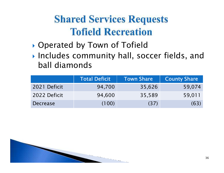## **Shared Services Requests Tofield Recreation**

- $\blacktriangleright$ Operated by Town of Tofield
- $\blacktriangleright$  Includes community hall. so Includes community hall, soccer fields, and ball diamonds

|                 | <b>Total Deficit</b> | <b>Town Share</b> | <b>County Share</b> |
|-----------------|----------------------|-------------------|---------------------|
| 2021 Deficit    | 94,700               | 35,626            | 59,074              |
| 2022 Deficit    | 94,600               | 35,589            | 59,011              |
| <b>Decrease</b> | (100)                | (37)              | (63)                |

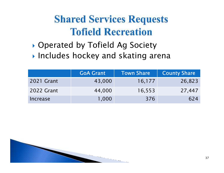## **Shared Services Requests Tofield Recreation**

 $\blacktriangleright$ **Operated by Tofield Ag Society** 

 $\blacktriangleright$  Includes hockey and skating arena

|            | <b>GoA Grant</b> | Town Share | <b>County Share</b> |
|------------|------------------|------------|---------------------|
| 2021 Grant | 43,000           | 16,177     | 26,823              |
| 2022 Grant | 44,000           | 16,553     | 27,447              |
| Increase   | 1,000            | 376        | 624                 |

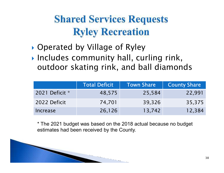## **Shared Services Requests Ryley Recreation**

- $\blacktriangleright$ Operated by Village of Ryley
- $\blacktriangleright$  Includes community hall, curling rink, outdoor skating rink, and ball diamonds

|                | <b>Total Deficit</b> | Town Share | <b>County Share</b> |
|----------------|----------------------|------------|---------------------|
| 2021 Deficit * | 48,575               | 25,584     | 22,991              |
| 2022 Deficit   | 74,701               | 39,326     | 35,375              |
| Increase       | 26,126               | 13,742     | 12,384              |

\* The 2021 budget was based on the 2018 actual because no budget estimates had been received by the County.

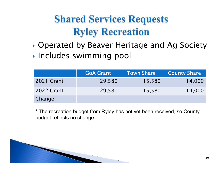## **Shared Services Requests Ryley Recreation**

 Operated by Beaver Heritage and Ag SocietyIncludes swimming pool

|            | <b>GoA Grant</b> | <b>Town Share</b> | <b>County Share</b> |
|------------|------------------|-------------------|---------------------|
| 2021 Grant | 29,580           | 15,580            | 14,000              |
| 2022 Grant | 29,580           | 15,580            | 14,000              |
| Change     |                  | -                 |                     |

\* The recreation budget from Ryley has not yet been received, so County budget reflects no change

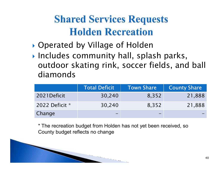## **Shared Services Requests Holden Recreation**

- $\blacktriangleright$ Operated by Village of Holden
- Includes community hall, splash parks, outdoor skating rink, soccer fields, and ball diamonds

|                | <b>Total Deficit</b> | <b>Town Share</b> | <b>County Share</b> |
|----------------|----------------------|-------------------|---------------------|
| 2021Deficit    | 30,240               | 8,352             | 21,888              |
| 2022 Deficit * | 30,240               | 8,352             | 21,888              |
| Change         |                      | -                 |                     |

\* The recreation budget from Holden has not yet been received, so County budget reflects no change

**The Common**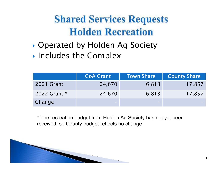## **Shared Services Requests Holden Recreation**

- Operated by Holden Ag Society
- **Includes the Complex**

|              | <b>GoA Grant</b> | <b>Town Share</b> | <b>County Share</b> |
|--------------|------------------|-------------------|---------------------|
| 2021 Grant   | 24,670           | 6,813             | 17,857              |
| 2022 Grant * | 24,670           | 6,813             | 17,857              |
| Change       |                  |                   |                     |

\* The recreation budget from Holden Ag Society has not yet been received, so County budget reflects no change

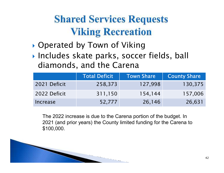## **Shared Services Requests Viking Recreation**

- $\blacktriangleright$ Operated by Town of Viking
- $\blacktriangleright$  Includes skate parks. socce Includes skate parks, soccer fields, ball diamonds, and the Carena

|              | <b>Total Deficit</b> | Town Share | <b>County Share</b> |
|--------------|----------------------|------------|---------------------|
| 2021 Deficit | 258,373              | 127,998    | 130,375             |
| 2022 Deficit | 311,150              | 154,144    | 157,006             |
| Increase     | 52,777               | 26,146     | 26,631              |

The 2022 increase is due to the Carena portion of the budget. In 2021 (and prior years) the County limited funding for the Carena to \$100,000.

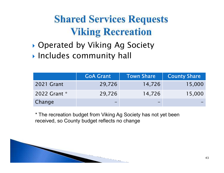## **Shared Services Requests Viking Recreation**

- Operated by Viking Ag Society
- $\blacktriangleright$  Includes community hall

|              | <b>GoA Grant</b> | Town Share | <b>County Share</b> |
|--------------|------------------|------------|---------------------|
| 2021 Grant   | 29,726           | 14,726     | 15,000              |
| 2022 Grant * | 29,726           | 14,726     | 15,000              |
| Change       |                  | -          |                     |

\* The recreation budget from Viking Ag Society has not yet been received, so County budget reflects no change

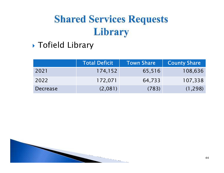$\blacktriangleright$ Tofield Library

|                 | <b>Total Deficit</b> | Town Share | <b>County Share</b> |
|-----------------|----------------------|------------|---------------------|
| 2021            | 174,152              | 65,516     | 108,636             |
| 2022            | 172,071              | 64,733     | 107,338             |
| <b>Decrease</b> | (2,081)              | (783)      | (1, 298)            |

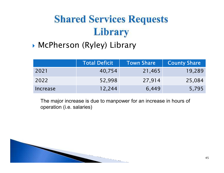#### McPherson (Ryley) Library

|          | <b>Total Deficit</b> | Town Share | <b>County Share</b> |
|----------|----------------------|------------|---------------------|
| 2021     | 40,754               | 21,465     | 19,289              |
| 2022     | 52,998               | 27,914     | 25,084              |
| Increase | 12,244               | 6,449      | 5,795               |

The major increase is due to manpower for an increase in hours of operation (i.e. salaries)

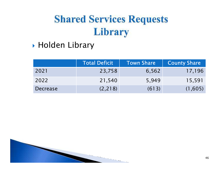Holden Library

|                 | <b>Total Deficit</b> | Town Share | <b>County Share</b> |
|-----------------|----------------------|------------|---------------------|
| 2021            | 23,758               | 6,562      | 17,196              |
| 2022            | 21,540               | 5,949      | 15,591              |
| <b>Decrease</b> | (2, 218)             | (613)      | (1,605)             |

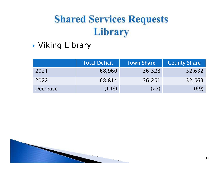Viking Library

|                 | <b>Total Deficit</b> | <b>Town Share</b> | <b>County Share</b> |
|-----------------|----------------------|-------------------|---------------------|
| 2021            | 68,960               | 36,328            | 32,632              |
| 2022            | 68,814               | 36,251            | 32,563              |
| <b>Decrease</b> | (146)                | (77)              | (69)                |

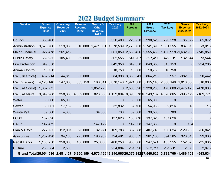#### **2022 Budget Summary**

| <b>Service</b>                                                                                              | <b>Gross</b><br><b>Expense</b><br>2022 | <b>Operating</b><br><b>Revenue</b><br>2022 | <b>Reserve</b><br><b>Revenue</b><br>2022 | <b>Grants &amp;</b><br><b>Other</b><br><b>Revenue</b> | <b>Tax Levy</b><br>2022 | 2021<br><b>Forecast</b> | 2021<br><b>Gross</b><br><b>Expense</b>           | 2021<br><b>Tax Levy</b> | <b>Gross</b><br><b>Expense</b><br>2022-2021 | <b>Tax Levy</b><br>2022-2021 |
|-------------------------------------------------------------------------------------------------------------|----------------------------------------|--------------------------------------------|------------------------------------------|-------------------------------------------------------|-------------------------|-------------------------|--------------------------------------------------|-------------------------|---------------------------------------------|------------------------------|
|                                                                                                             |                                        |                                            |                                          | 2022                                                  |                         |                         |                                                  |                         |                                             |                              |
| Council                                                                                                     | 356,400                                |                                            |                                          |                                                       | 356,400                 | 228,950                 | 290,528                                          | 290,528                 | 65,872                                      | 65,872                       |
| Administration                                                                                              | 3,578,706                              | 519,086                                    | 10,000                                   | 1,471,081                                             | 1,578,539               |                         | 2,776,750 2,741,693                              | 1,581,555               | 837,013                                     | $-3,016$                     |
| <b>Major Financial</b>                                                                                      | 922,478                                | 261,419                                    |                                          |                                                       | 661,059                 |                         | 2,555,436 2,555,436                              |                         | 1,406,918 - 1,632,958                       | $-745,859$                   |
| <b>Public Safety</b>                                                                                        | 659,955                                | 105,400                                    | 52,000                                   |                                                       | 502,555                 | 541,207                 | 527,411                                          | 429,011                 | 132,544                                     | 73,544                       |
| <b>Fire Protection</b>                                                                                      | 849,358                                |                                            |                                          |                                                       | 849,358                 | 849,358                 | 849,358                                          | 615,153                 | $\Omega$                                    | 234,205                      |
| <b>Animal Control</b>                                                                                       | 10,750                                 |                                            |                                          |                                                       | 10,750                  | 10,600                  | 10,750                                           | 10,750                  | 0                                           | 0                            |
| PW (Dir Office)                                                                                             | 482,214                                | 44,816                                     | 53,000                                   |                                                       |                         | 384,398 3,356,641       | 864,215                                          | 363,957                 | $-382,000$                                  | 20,442                       |
| PW (Graders)                                                                                                | 4,125,146                              | 547,000                                    | 333,159                                  | 166,841                                               | 3,078,146               |                         | 1,924,000 3,115,146 2,568,146                    |                         | 1,010,000                                   | 510,000                      |
| PW (Rd Const)                                                                                               | 1,852,775                              |                                            |                                          | 1,852,775                                             | 0                       |                         | 2,560,326 3,328,203                              |                         | 470,000 - 1,475,428                         | $-470,000$                   |
| PW (Rd Maint)                                                                                               | 9,849,988                              |                                            | 358,336 4,509,000                        |                                                       |                         |                         | 823,558 4,159,094 8,690,578 10,243,167 4,328,865 |                         | $-393,179$                                  | $-169,771$                   |
| Water                                                                                                       | 65,000                                 | 65,000                                     |                                          |                                                       |                         | 65,000                  | 65,000                                           | 0l                      | $\Omega$                                    |                              |
| Sewer                                                                                                       | 55,001                                 | 17,169                                     | 5,000                                    |                                                       | 32,832                  | 37,700                  | 54,985                                           | 32,816                  | 16                                          | 16                           |
| <b>Waste Mgt</b>                                                                                            | 39,560                                 | 4,300                                      |                                          | 34,560                                                | 700                     | 39,560                  | 39,560                                           | 700                     | $\overline{0}$                              |                              |
| <b>FCSS</b>                                                                                                 | 137,626                                |                                            |                                          |                                                       | 137,626                 | 135,776                 | 137,626                                          | 137,626                 | 0                                           |                              |
| <b>CALP</b>                                                                                                 | 147,472                                |                                            |                                          | 147,472                                               | 0                       | 147,338                 | 147,338                                          | 01                      | 134                                         | 0l                           |
| Plan & Dev't                                                                                                | 277,755                                | 112,001                                    | 23,000                                   | 32,971                                                | 109,783                 | 367,388                 | 407,740                                          | 166,624                 | $-129,985$                                  | $-56,841$                    |
| Agriculture                                                                                                 | 1,287,498                              | 94,100                                     | 275,000                                  | 193,907                                               | 724,491                 | 906,652                 | 961,185                                          | 694,585                 | 326,313                                     | 29,906                       |
| <b>Rec &amp; Parks</b>                                                                                      | 1,100,250                              | 350,000                                    | 100,000                                  | 25,0000                                               | 400,250                 | 930,586                 | 947,574                                          | 435,255                 | 152,676                                     | $-35,005$                    |
| <b>Culture</b>                                                                                              | 256,584                                | 2,500                                      |                                          |                                                       | 254,084                 | 251,396                 | 253,711                                          | 251,211                 | 2,873                                       | 2,873                        |
| Grand Total 26,054,516 2,481,127 5,360,159 4,973,16513,240,065 26,375,242 27,540,626 13,783,700 - 1,486,109 |                                        |                                            |                                          |                                                       |                         |                         |                                                  |                         |                                             | $-543,634$                   |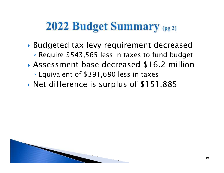## 2022 Budget Summary (pg 2)

- Budgeted tax levy requirement decreased◦ Require \$543,565 less in taxes to fund budget
- $\blacktriangleright$  Assessment base decreased \$16.2 million
	- Equivalent of \$391,680 less in taxes
- $\blacktriangleright$ Net difference is surplus of \$151,885

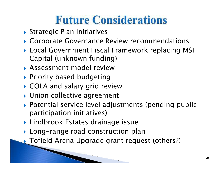# **Future Considerations**

- $\blacktriangleright$  Strategic Plan initiatives
- Corporate Governance Review recommendations
- Local Government Fiscal Framework replacing MSI Capital (unknown funding)
- Assessment model review
- $\blacktriangleright$  Priority based budgeting
- COLA and salary grid review
- Union collective agreement
- Potential service level adjustments (pending public participation initiatives)
- Lindbrook Estates drainage issue
- $\blacktriangleright$  Long–range road construction plan
- Tofield Arena Upgrade grant request (others?)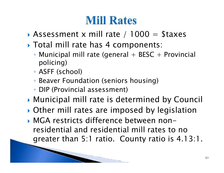## **Mill Rates**

- $\blacktriangleright$ Assessment x mill rate /  $1000 =$  \$taxes
- Total mill rate has 4 components:
	- $\circ$  Municipal mill rate (general  $+$  BESC  $+$  Provincial policing)
	- ASFF (school)
	- Beaver Foundation (seniors housing)
	- DIP (Provincial assessment)
- Municipal mill rate is determined by Council
- Other mill rates are imposed by legislation
- MGA restricts difference between non residential and residential mill rates to no greater than 5:1 ratio. County ratio is 4.13:1.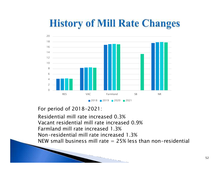### **History of Mill Rate Changes**



For period of 2018-2021:

Residential mill rate increased 0.3% Vacant residential mill rate increased 0.9%Farmland mill rate increased 1.3% Non-residential mill rate increased 1.3%NEW small business mill rate = 25% less than non-residential

 $\sim$